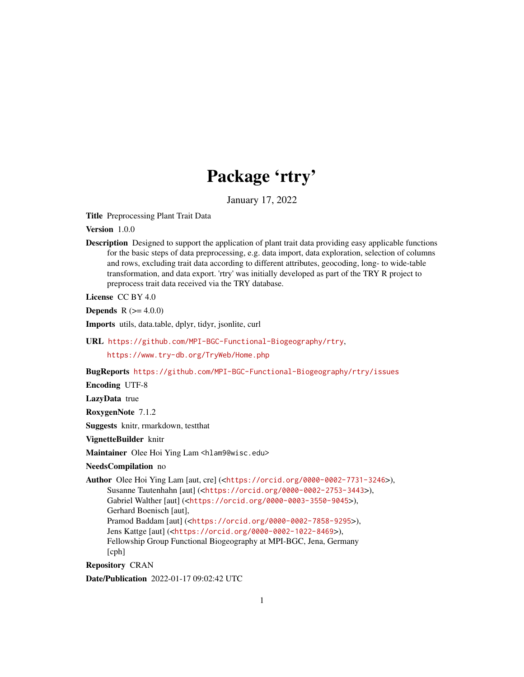# Package 'rtry'

January 17, 2022

<span id="page-0-0"></span>Title Preprocessing Plant Trait Data

Version 1.0.0

Description Designed to support the application of plant trait data providing easy applicable functions for the basic steps of data preprocessing, e.g. data import, data exploration, selection of columns and rows, excluding trait data according to different attributes, geocoding, long- to wide-table transformation, and data export. 'rtry' was initially developed as part of the TRY R project to preprocess trait data received via the TRY database.

License CC BY 4.0

**Depends** R  $(>= 4.0.0)$ 

Imports utils, data.table, dplyr, tidyr, jsonlite, curl

URL <https://github.com/MPI-BGC-Functional-Biogeography/rtry>,

<https://www.try-db.org/TryWeb/Home.php>

BugReports <https://github.com/MPI-BGC-Functional-Biogeography/rtry/issues>

Encoding UTF-8

LazyData true

RoxygenNote 7.1.2

Suggests knitr, rmarkdown, testthat

VignetteBuilder knitr

Maintainer Olee Hoi Ying Lam <hlam9@wisc.edu>

NeedsCompilation no

Author Olee Hoi Ying Lam [aut, cre] (<<https://orcid.org/0000-0002-7731-3246>>), Susanne Tautenhahn [aut] (<<https://orcid.org/0000-0002-2753-3443>>), Gabriel Walther [aut] (<<https://orcid.org/0000-0003-3550-9045>>), Gerhard Boenisch [aut], Pramod Baddam [aut] (<<https://orcid.org/0000-0002-7858-9295>>), Jens Kattge [aut] (<<https://orcid.org/0000-0002-1022-8469>>), Fellowship Group Functional Biogeography at MPI-BGC, Jena, Germany [cph]

Repository CRAN

Date/Publication 2022-01-17 09:02:42 UTC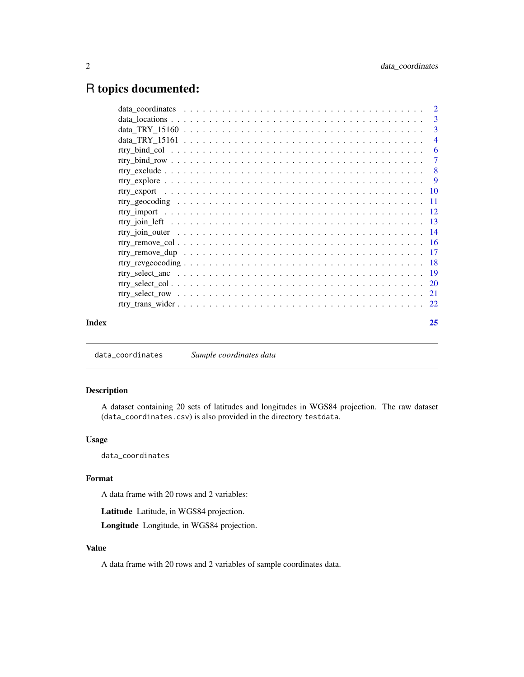# <span id="page-1-0"></span>R topics documented:

|       | -3                        |
|-------|---------------------------|
|       | -3                        |
|       | $\overline{4}$            |
|       | -6                        |
|       | $\overline{7}$            |
|       | $\overline{\phantom{0}}8$ |
|       |                           |
|       |                           |
|       |                           |
|       |                           |
|       |                           |
|       |                           |
|       |                           |
|       |                           |
|       |                           |
|       |                           |
|       |                           |
|       |                           |
|       |                           |
| Index | 25                        |
|       |                           |

data\_coordinates *Sample coordinates data*

# Description

A dataset containing 20 sets of latitudes and longitudes in WGS84 projection. The raw dataset (data\_coordinates.csv) is also provided in the directory testdata.

# Usage

data\_coordinates

# Format

A data frame with 20 rows and 2 variables:

Latitude Latitude, in WGS84 projection.

Longitude Longitude, in WGS84 projection.

# Value

A data frame with 20 rows and 2 variables of sample coordinates data.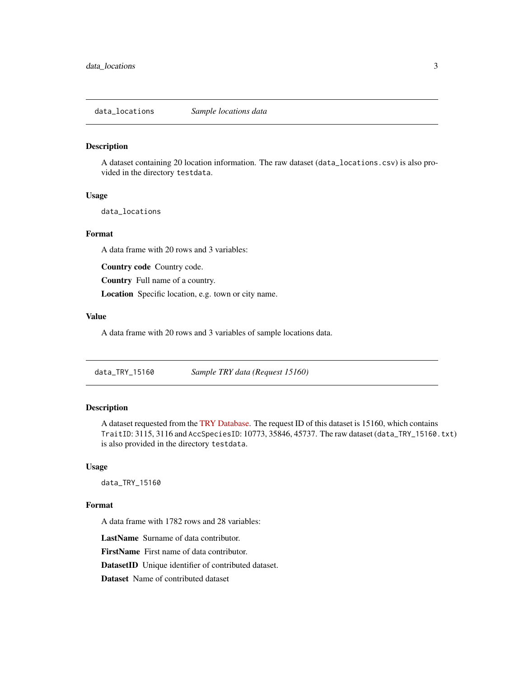<span id="page-2-0"></span>data\_locations *Sample locations data*

#### Description

A dataset containing 20 location information. The raw dataset (data\_locations.csv) is also provided in the directory testdata.

### Usage

data\_locations

# Format

A data frame with 20 rows and 3 variables:

Country code Country code.

Country Full name of a country.

Location Specific location, e.g. town or city name.

# Value

A data frame with 20 rows and 3 variables of sample locations data.

data\_TRY\_15160 *Sample TRY data (Request 15160)*

### Description

A dataset requested from the [TRY Database.](https://www.try-db.org/TryWeb/Prop0.php) The request ID of this dataset is 15160, which contains TraitID: 3115, 3116 and AccSpeciesID: 10773, 35846, 45737. The raw dataset (data\_TRY\_15160.txt) is also provided in the directory testdata.

#### Usage

data\_TRY\_15160

#### Format

A data frame with 1782 rows and 28 variables:

LastName Surname of data contributor.

FirstName First name of data contributor.

DatasetID Unique identifier of contributed dataset.

Dataset Name of contributed dataset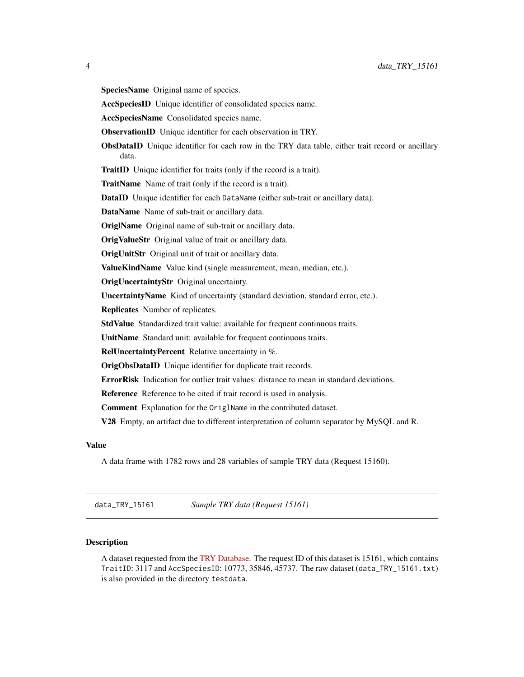<span id="page-3-0"></span>SpeciesName Original name of species.

AccSpeciesID Unique identifier of consolidated species name.

AccSpeciesName Consolidated species name.

ObservationID Unique identifier for each observation in TRY.

ObsDataID Unique identifier for each row in the TRY data table, either trait record or ancillary data.

TraitID Unique identifier for traits (only if the record is a trait).

TraitName Name of trait (only if the record is a trait).

DataID Unique identifier for each DataName (either sub-trait or ancillary data).

DataName Name of sub-trait or ancillary data.

OriglName Original name of sub-trait or ancillary data.

OrigValueStr Original value of trait or ancillary data.

OrigUnitStr Original unit of trait or ancillary data.

ValueKindName Value kind (single measurement, mean, median, etc.).

OrigUncertaintyStr Original uncertainty.

UncertaintyName Kind of uncertainty (standard deviation, standard error, etc.).

Replicates Number of replicates.

StdValue Standardized trait value: available for frequent continuous traits.

UnitName Standard unit: available for frequent continuous traits.

RelUncertaintyPercent Relative uncertainty in %.

OrigObsDataID Unique identifier for duplicate trait records.

ErrorRisk Indication for outlier trait values: distance to mean in standard deviations.

Reference Reference to be cited if trait record is used in analysis.

Comment Explanation for the OriglName in the contributed dataset.

V28 Empty, an artifact due to different interpretation of column separator by MySQL and R.

#### Value

A data frame with 1782 rows and 28 variables of sample TRY data (Request 15160).

data\_TRY\_15161 *Sample TRY data (Request 15161)*

# **Description**

A dataset requested from the [TRY Database.](https://www.try-db.org/TryWeb/Prop0.php) The request ID of this dataset is 15161, which contains TraitID: 3117 and AccSpeciesID: 10773, 35846, 45737. The raw dataset (data\_TRY\_15161.txt) is also provided in the directory testdata.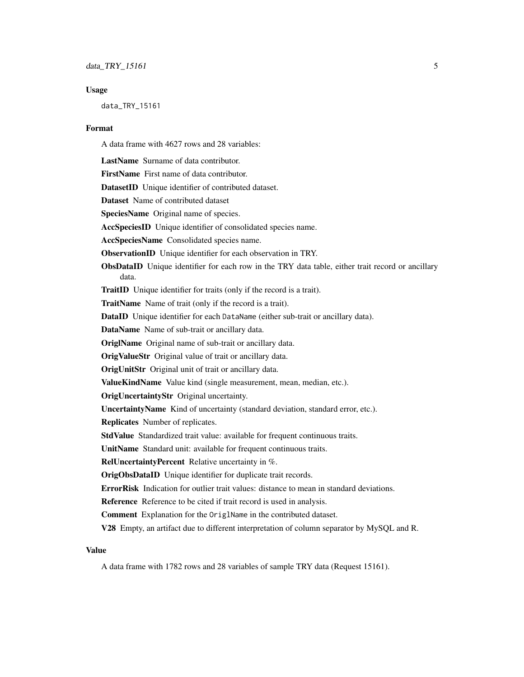#### Usage

data\_TRY\_15161

#### Format

A data frame with 4627 rows and 28 variables:

LastName Surname of data contributor.

FirstName First name of data contributor.

DatasetID Unique identifier of contributed dataset.

Dataset Name of contributed dataset

SpeciesName Original name of species.

AccSpeciesID Unique identifier of consolidated species name.

AccSpeciesName Consolidated species name.

ObservationID Unique identifier for each observation in TRY.

ObsDataID Unique identifier for each row in the TRY data table, either trait record or ancillary data.

TraitID Unique identifier for traits (only if the record is a trait).

TraitName Name of trait (only if the record is a trait).

DataID Unique identifier for each DataName (either sub-trait or ancillary data).

DataName Name of sub-trait or ancillary data.

OriglName Original name of sub-trait or ancillary data.

OrigValueStr Original value of trait or ancillary data.

**OrigUnitStr** Original unit of trait or ancillary data.

ValueKindName Value kind (single measurement, mean, median, etc.).

OrigUncertaintyStr Original uncertainty.

UncertaintyName Kind of uncertainty (standard deviation, standard error, etc.).

Replicates Number of replicates.

StdValue Standardized trait value: available for frequent continuous traits.

UnitName Standard unit: available for frequent continuous traits.

RelUncertaintyPercent Relative uncertainty in %.

OrigObsDataID Unique identifier for duplicate trait records.

ErrorRisk Indication for outlier trait values: distance to mean in standard deviations.

Reference Reference to be cited if trait record is used in analysis.

Comment Explanation for the OriglName in the contributed dataset.

V28 Empty, an artifact due to different interpretation of column separator by MySQL and R.

#### Value

A data frame with 1782 rows and 28 variables of sample TRY data (Request 15161).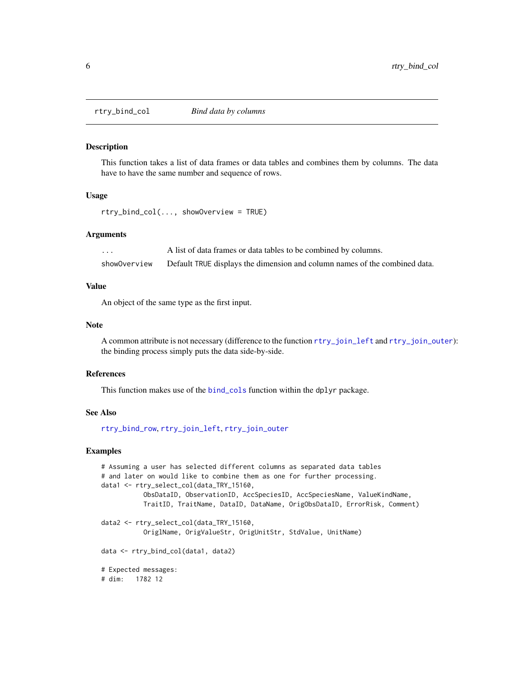<span id="page-5-1"></span><span id="page-5-0"></span>

#### Description

This function takes a list of data frames or data tables and combines them by columns. The data have to have the same number and sequence of rows.

#### Usage

rtry\_bind\_col(..., showOverview = TRUE)

#### Arguments

... A list of data frames or data tables to be combined by columns. showOverview Default TRUE displays the dimension and column names of the combined data.

#### Value

An object of the same type as the first input.

#### **Note**

A common attribute is not necessary (difference to the function [rtry\\_join\\_left](#page-12-1) and [rtry\\_join\\_outer](#page-13-1)): the binding process simply puts the data side-by-side.

#### References

This function makes use of the [bind\\_cols](#page-0-0) function within the dplyr package.

#### See Also

[rtry\\_bind\\_row](#page-6-1), [rtry\\_join\\_left](#page-12-1), [rtry\\_join\\_outer](#page-13-1)

```
# Assuming a user has selected different columns as separated data tables
# and later on would like to combine them as one for further processing.
data1 <- rtry_select_col(data_TRY_15160,
          ObsDataID, ObservationID, AccSpeciesID, AccSpeciesName, ValueKindName,
          TraitID, TraitName, DataID, DataName, OrigObsDataID, ErrorRisk, Comment)
data2 <- rtry_select_col(data_TRY_15160,
          OriglName, OrigValueStr, OrigUnitStr, StdValue, UnitName)
data <- rtry_bind_col(data1, data2)
# Expected messages:
# dim: 1782 12
```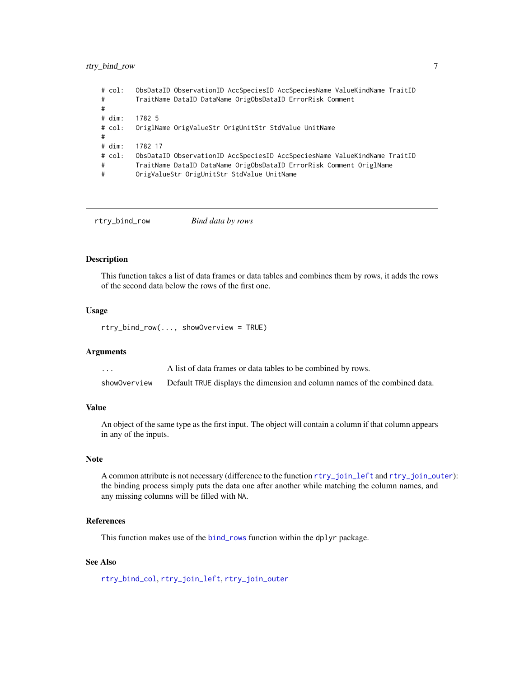# <span id="page-6-0"></span>rtry\_bind\_row 7

| #<br># | # col: | ObsDataID ObservationID AccSpeciesID AccSpeciesName ValueKindName TraitID<br>TraitName DataID DataName OrigObsDataID ErrorRisk Comment |
|--------|--------|----------------------------------------------------------------------------------------------------------------------------------------|
|        | # dim: | 1782 5                                                                                                                                 |
| #      | # col: | OriglName OrigValueStr OrigUnitStr StdValue UnitName                                                                                   |
|        | # dim: | 1782 17                                                                                                                                |
|        | # col: | ObsDataID ObservationID AccSpeciesID AccSpeciesName ValueKindName TraitID                                                              |
| #      |        | TraitName DataID DataName OrigObsDataID ErrorRisk Comment OriglName                                                                    |
| #      |        | OrigValueStr OrigUnitStr StdValue UnitName                                                                                             |

<span id="page-6-1"></span>rtry\_bind\_row *Bind data by rows*

# Description

This function takes a list of data frames or data tables and combines them by rows, it adds the rows of the second data below the rows of the first one.

# Usage

rtry\_bind\_row(..., showOverview = TRUE)

# Arguments

| $\cdots$     | A list of data frames or data tables to be combined by rows.               |
|--------------|----------------------------------------------------------------------------|
| showOverview | Default TRUE displays the dimension and column names of the combined data. |

# Value

An object of the same type as the first input. The object will contain a column if that column appears in any of the inputs.

# Note

A common attribute is not necessary (difference to the function [rtry\\_join\\_left](#page-12-1) and [rtry\\_join\\_outer](#page-13-1)): the binding process simply puts the data one after another while matching the column names, and any missing columns will be filled with NA.

# References

This function makes use of the [bind\\_rows](#page-0-0) function within the dplyr package.

# See Also

[rtry\\_bind\\_col](#page-5-1), [rtry\\_join\\_left](#page-12-1), [rtry\\_join\\_outer](#page-13-1)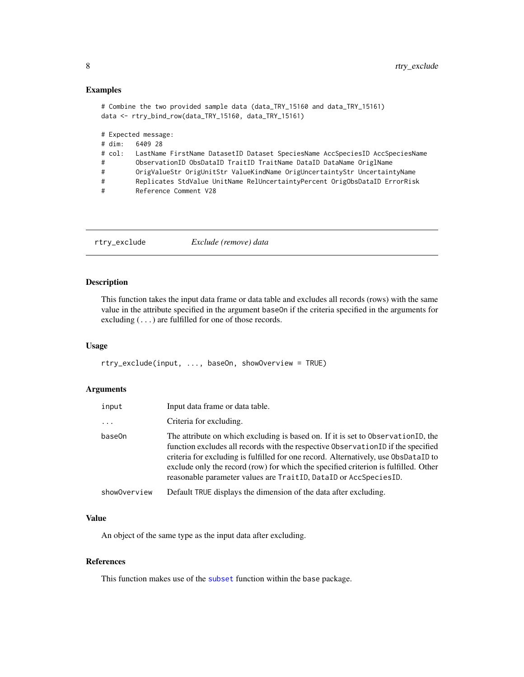#### Examples

```
# Combine the two provided sample data (data_TRY_15160 and data_TRY_15161)
data <- rtry_bind_row(data_TRY_15160, data_TRY_15161)
# Expected message:
# dim: 6409 28
# col: LastName FirstName DatasetID Dataset SpeciesName AccSpeciesID AccSpeciesName
# ObservationID ObsDataID TraitID TraitName DataID DataName OriglName
# OrigValueStr OrigUnitStr ValueKindName OrigUncertaintyStr UncertaintyName
# Replicates StdValue UnitName RelUncertaintyPercent OrigObsDataID ErrorRisk
# Reference Comment V28
```

| Exclude (remove) data<br>rtry_exclude |
|---------------------------------------|
|---------------------------------------|

# Description

This function takes the input data frame or data table and excludes all records (rows) with the same value in the attribute specified in the argument baseOn if the criteria specified in the arguments for excluding (...) are fulfilled for one of those records.

#### Usage

```
rtry_exclude(input, ..., baseOn, showOverview = TRUE)
```
# Arguments

| input        | Input data frame or data table.                                                                                                                                                                                                                                                                                                                                                                                          |
|--------------|--------------------------------------------------------------------------------------------------------------------------------------------------------------------------------------------------------------------------------------------------------------------------------------------------------------------------------------------------------------------------------------------------------------------------|
| $\cdots$     | Criteria for excluding.                                                                                                                                                                                                                                                                                                                                                                                                  |
| base0n       | The attribute on which excluding is based on. If it is set to Observation ID, the<br>function excludes all records with the respective Observation ID if the specified<br>criteria for excluding is fulfilled for one record. Alternatively, use ObsDataID to<br>exclude only the record (row) for which the specified criterion is fulfilled. Other<br>reasonable parameter values are TraitID, DataID or AccSpeciesID. |
| showOverview | Default TRUE displays the dimension of the data after excluding.                                                                                                                                                                                                                                                                                                                                                         |

#### Value

An object of the same type as the input data after excluding.

#### References

This function makes use of the [subset](#page-0-0) function within the base package.

<span id="page-7-0"></span>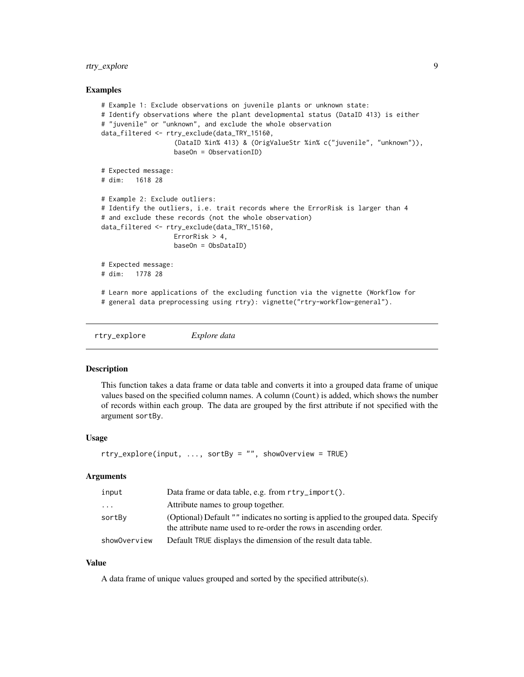# <span id="page-8-0"></span>rtry\_explore 9

# Examples

```
# Example 1: Exclude observations on juvenile plants or unknown state:
# Identify observations where the plant developmental status (DataID 413) is either
# "juvenile" or "unknown", and exclude the whole observation
data_filtered <- rtry_exclude(data_TRY_15160,
                   (DataID %in% 413) & (OrigValueStr %in% c("juvenile", "unknown")),
                   baseOn = ObservationID)
# Expected message:
# dim: 1618 28
# Example 2: Exclude outliers:
# Identify the outliers, i.e. trait records where the ErrorRisk is larger than 4
# and exclude these records (not the whole observation)
data_filtered <- rtry_exclude(data_TRY_15160,
                  ErrorRisk > 4,
                  baseOn = ObsDataID)
# Expected message:
# dim: 1778 28
# Learn more applications of the excluding function via the vignette (Workflow for
# general data preprocessing using rtry): vignette("rtry-workflow-general").
```
rtry\_explore *Explore data*

#### **Description**

This function takes a data frame or data table and converts it into a grouped data frame of unique values based on the specified column names. A column (Count) is added, which shows the number of records within each group. The data are grouped by the first attribute if not specified with the argument sortBy.

#### Usage

```
rtry_explore(input, ..., sortBy = "", showOverview = TRUE)
```
#### Arguments

| input        | Data frame or data table, e.g. from rtry_import().                                                                                                     |
|--------------|--------------------------------------------------------------------------------------------------------------------------------------------------------|
| $\ddots$     | Attribute names to group together.                                                                                                                     |
| sortBy       | (Optional) Default "" indicates no sorting is applied to the grouped data. Specify<br>the attribute name used to re-order the rows in ascending order. |
| showOverview | Default TRUE displays the dimension of the result data table.                                                                                          |

#### Value

A data frame of unique values grouped and sorted by the specified attribute(s).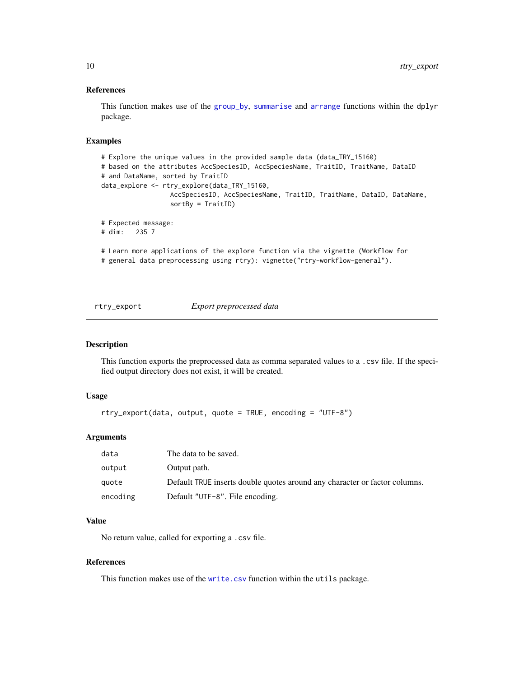# References

This function makes use of the [group\\_by](#page-0-0), [summarise](#page-0-0) and [arrange](#page-0-0) functions within the dplyr package.

# Examples

```
# Explore the unique values in the provided sample data (data_TRY_15160)
# based on the attributes AccSpeciesID, AccSpeciesName, TraitID, TraitName, DataID
# and DataName, sorted by TraitID
data_explore <- rtry_explore(data_TRY_15160,
                 AccSpeciesID, AccSpeciesName, TraitID, TraitName, DataID, DataName,
                  sortBy = TraitID)
# Expected message:
# dim: 235 7
# Learn more applications of the explore function via the vignette (Workflow for
# general data preprocessing using rtry): vignette("rtry-workflow-general").
```
rtry\_export *Export preprocessed data*

#### Description

This function exports the preprocessed data as comma separated values to a .csv file. If the specified output directory does not exist, it will be created.

#### Usage

```
rtry_export(data, output, quote = TRUE, encoding = "UTF-8")
```
# Arguments

| data     | The data to be saved.                                                      |
|----------|----------------------------------------------------------------------------|
| output   | Output path.                                                               |
| quote    | Default TRUE inserts double quotes around any character or factor columns. |
| encoding | Default "UTF-8". File encoding.                                            |

# Value

No return value, called for exporting a .csv file.

#### References

This function makes use of the [write.csv](#page-0-0) function within the utils package.

<span id="page-9-0"></span>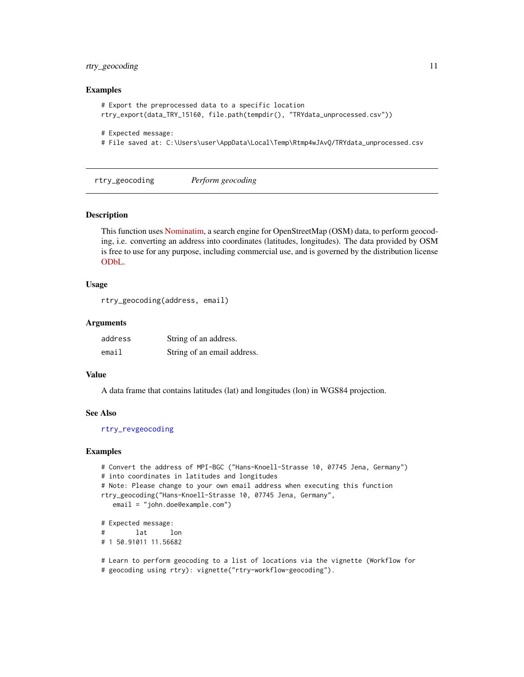# <span id="page-10-0"></span>rtry\_geocoding 11

#### Examples

```
# Export the preprocessed data to a specific location
rtry_export(data_TRY_15160, file.path(tempdir(), "TRYdata_unprocessed.csv"))
# Expected message:
```
# File saved at: C:\Users\user\AppData\Local\Temp\Rtmp4wJAvQ/TRYdata\_unprocessed.csv

<span id="page-10-1"></span>rtry\_geocoding *Perform geocoding*

#### Description

This function uses [Nominatim,](https://wiki.openstreetmap.org/wiki/Nominatim) a search engine for OpenStreetMap (OSM) data, to perform geocoding, i.e. converting an address into coordinates (latitudes, longitudes). The data provided by OSM is free to use for any purpose, including commercial use, and is governed by the distribution license [ODbL.](https://wiki.osmfoundation.org/wiki/Licence)

# Usage

```
rtry_geocoding(address, email)
```
### Arguments

| address | String of an address.       |
|---------|-----------------------------|
| email   | String of an email address. |

#### Value

A data frame that contains latitudes (lat) and longitudes (lon) in WGS84 projection.

# See Also

[rtry\\_revgeocoding](#page-17-1)

```
# Convert the address of MPI-BGC ("Hans-Knoell-Strasse 10, 07745 Jena, Germany")
# into coordinates in latitudes and longitudes
# Note: Please change to your own email address when executing this function
rtry_geocoding("Hans-Knoell-Strasse 10, 07745 Jena, Germany",
  email = "john.doe@example.com")
# Expected message:
# lat lon
# 1 50.91011 11.56682
```

```
# Learn to perform geocoding to a list of locations via the vignette (Workflow for
# geocoding using rtry): vignette("rtry-workflow-geocoding").
```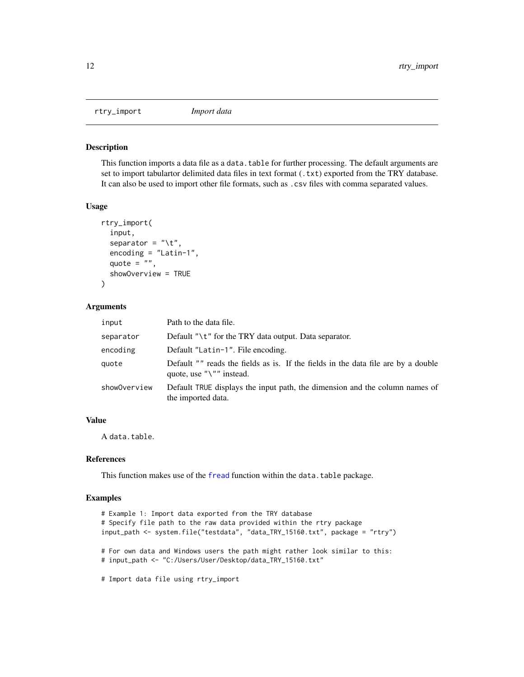<span id="page-11-0"></span>rtry\_import *Import data*

# Description

This function imports a data file as a data.table for further processing. The default arguments are set to import tabulartor delimited data files in text format (.txt) exported from the TRY database. It can also be used to import other file formats, such as .csv files with comma separated values.

### Usage

```
rtry_import(
  input,
  separator = "\t t",encoding = "Latin-1",
  quote = ",
  showOverview = TRUE
\lambda
```
#### Arguments

| Path to the data file.                                                                                                  |
|-------------------------------------------------------------------------------------------------------------------------|
| Default " $\mathcal{U}$ " for the TRY data output. Data separator.                                                      |
| Default "Latin-1". File encoding.                                                                                       |
| Default "" reads the fields as is. If the fields in the data file are by a double<br>quote, use " $\Upsilon$ " instead. |
| Default TRUE displays the input path, the dimension and the column names of<br>the imported data.                       |
|                                                                                                                         |

# Value

A data.table.

#### References

This function makes use of the [fread](#page-0-0) function within the data.table package.

```
# Example 1: Import data exported from the TRY database
# Specify file path to the raw data provided within the rtry package
input_path <- system.file("testdata", "data_TRY_15160.txt", package = "rtry")
# For own data and Windows users the path might rather look similar to this:
# input_path <- "C:/Users/User/Desktop/data_TRY_15160.txt"
```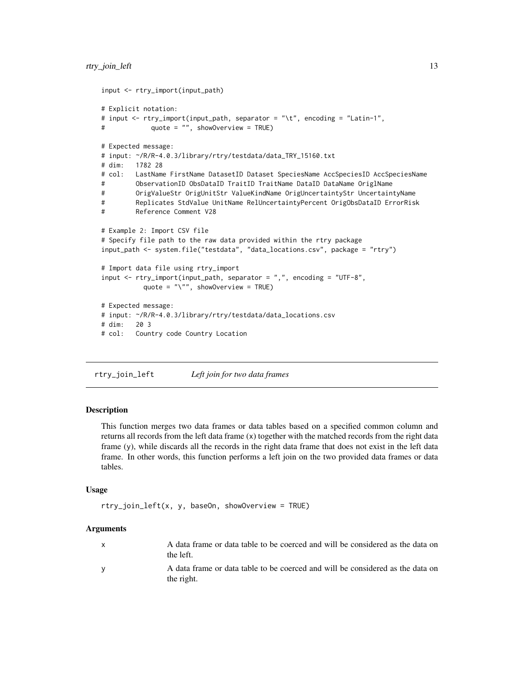```
input <- rtry_import(input_path)
# Explicit notation:
# input <- rtry_import(input_path, separator = "\t", encoding = "Latin-1",
# quote = "", showOverview = TRUE)
# Expected message:
# input: ~/R/R-4.0.3/library/rtry/testdata/data_TRY_15160.txt
# dim: 1782 28
# col: LastName FirstName DatasetID Dataset SpeciesName AccSpeciesID AccSpeciesName
# ObservationID ObsDataID TraitID TraitName DataID DataName OriglName
# OrigValueStr OrigUnitStr ValueKindName OrigUncertaintyStr UncertaintyName
# Replicates StdValue UnitName RelUncertaintyPercent OrigObsDataID ErrorRisk
# Reference Comment V28
# Example 2: Import CSV file
# Specify file path to the raw data provided within the rtry package
input_path <- system.file("testdata", "data_locations.csv", package = "rtry")
# Import data file using rtry_import
input <- rtry_import(input_path, separator = ",", encoding = "UTF-8",
          quote = "\}'", showOverview = TRUE)
# Expected message:
# input: ~/R/R-4.0.3/library/rtry/testdata/data_locations.csv
# dim: 20 3
# col: Country code Country Location
```
<span id="page-12-1"></span>rtry\_join\_left *Left join for two data frames*

#### **Description**

This function merges two data frames or data tables based on a specified common column and returns all records from the left data frame (x) together with the matched records from the right data frame (y), while discards all the records in the right data frame that does not exist in the left data frame. In other words, this function performs a left join on the two provided data frames or data tables.

#### Usage

```
rtry_join_left(x, y, baseOn, showOverview = TRUE)
```
# Arguments

| A data frame or data table to be coerced and will be considered as the data on<br>the left.  |
|----------------------------------------------------------------------------------------------|
| A data frame or data table to be coerced and will be considered as the data on<br>the right. |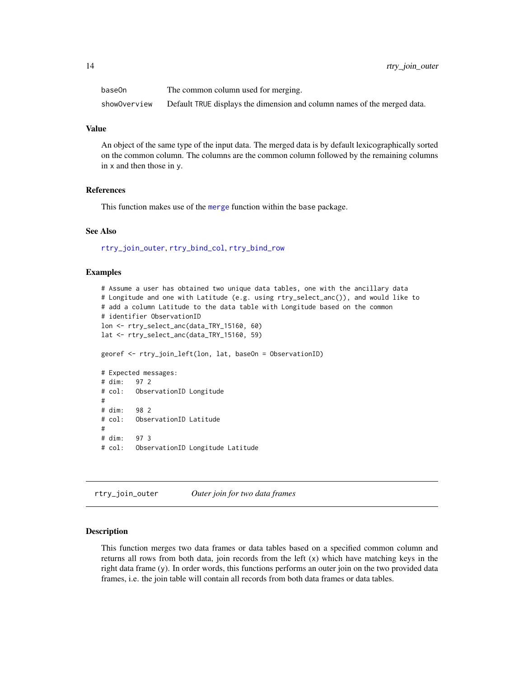<span id="page-13-0"></span>

| base0n       | The common column used for merging.                                      |
|--------------|--------------------------------------------------------------------------|
| showOverview | Default TRUE displays the dimension and column names of the merged data. |

#### Value

An object of the same type of the input data. The merged data is by default lexicographically sorted on the common column. The columns are the common column followed by the remaining columns in x and then those in y.

# References

This function makes use of the [merge](#page-0-0) function within the base package.

# See Also

[rtry\\_join\\_outer](#page-13-1), [rtry\\_bind\\_col](#page-5-1), [rtry\\_bind\\_row](#page-6-1)

#### Examples

# Assume a user has obtained two unique data tables, one with the ancillary data # Longitude and one with Latitude (e.g. using rtry\_select\_anc()), and would like to # add a column Latitude to the data table with Longitude based on the common # identifier ObservationID lon <- rtry\_select\_anc(data\_TRY\_15160, 60) lat <- rtry\_select\_anc(data\_TRY\_15160, 59) georef <- rtry\_join\_left(lon, lat, baseOn = ObservationID) # Expected messages: # dim: 97 2 # col: ObservationID Longitude # # dim: 98 2 # col: ObservationID Latitude # # dim: 97 3 # col: ObservationID Longitude Latitude

<span id="page-13-1"></span>rtry\_join\_outer *Outer join for two data frames*

# Description

This function merges two data frames or data tables based on a specified common column and returns all rows from both data, join records from the left (x) which have matching keys in the right data frame (y). In order words, this functions performs an outer join on the two provided data frames, i.e. the join table will contain all records from both data frames or data tables.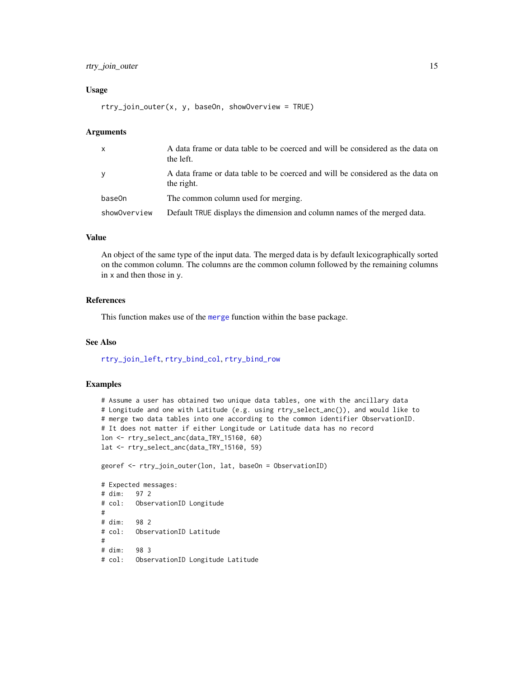# <span id="page-14-0"></span>rtry\_join\_outer 15

#### Usage

```
rtry_join_outer(x, y, baseOn, showOverview = TRUE)
```
### Arguments

| $\mathsf{x}$ | A data frame or data table to be coerced and will be considered as the data on<br>the left.  |
|--------------|----------------------------------------------------------------------------------------------|
| У            | A data frame or data table to be coerced and will be considered as the data on<br>the right. |
| base0n       | The common column used for merging.                                                          |
| showOverview | Default TRUE displays the dimension and column names of the merged data.                     |

# Value

An object of the same type of the input data. The merged data is by default lexicographically sorted on the common column. The columns are the common column followed by the remaining columns in x and then those in y.

#### References

This function makes use of the [merge](#page-0-0) function within the base package.

#### See Also

[rtry\\_join\\_left](#page-12-1), [rtry\\_bind\\_col](#page-5-1), [rtry\\_bind\\_row](#page-6-1)

```
# Assume a user has obtained two unique data tables, one with the ancillary data
# Longitude and one with Latitude (e.g. using rtry_select_anc()), and would like to
# merge two data tables into one according to the common identifier ObservationID.
# It does not matter if either Longitude or Latitude data has no record
lon <- rtry_select_anc(data_TRY_15160, 60)
lat <- rtry_select_anc(data_TRY_15160, 59)
georef <- rtry_join_outer(lon, lat, baseOn = ObservationID)
# Expected messages:
# dim: 97 2
# col: ObservationID Longitude
#
# dim: 98 2
# col: ObservationID Latitude
#
# dim: 98 3
```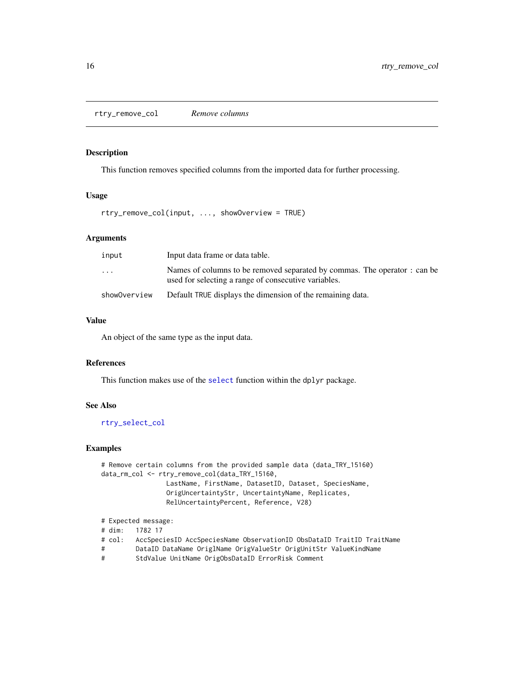<span id="page-15-1"></span><span id="page-15-0"></span>rtry\_remove\_col *Remove columns*

#### Description

This function removes specified columns from the imported data for further processing.

# Usage

rtry\_remove\_col(input, ..., showOverview = TRUE)

# Arguments

| input                   | Input data frame or data table.                                                                                                   |
|-------------------------|-----------------------------------------------------------------------------------------------------------------------------------|
| $\cdot$ $\cdot$ $\cdot$ | Names of columns to be removed separated by commas. The operator : can be<br>used for selecting a range of consecutive variables. |
| showOverview            | Default TRUE displays the dimension of the remaining data.                                                                        |

# Value

An object of the same type as the input data.

# References

This function makes use of the [select](#page-0-0) function within the dplyr package.

# See Also

[rtry\\_select\\_col](#page-19-1)

```
# Remove certain columns from the provided sample data (data_TRY_15160)
data_rm_col <- rtry_remove_col(data_TRY_15160,
                 LastName, FirstName, DatasetID, Dataset, SpeciesName,
                 OrigUncertaintyStr, UncertaintyName, Replicates,
                 RelUncertaintyPercent, Reference, V28)
# Expected message:
# dim: 1782 17
```

```
# col: AccSpeciesID AccSpeciesName ObservationID ObsDataID TraitID TraitName
```
- # DataID DataName OriglName OrigValueStr OrigUnitStr ValueKindName
- # StdValue UnitName OrigObsDataID ErrorRisk Comment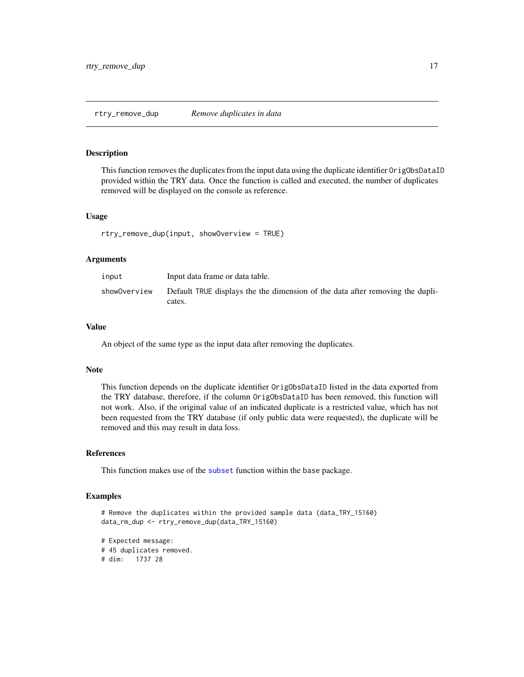#### <span id="page-16-1"></span><span id="page-16-0"></span>Description

This function removes the duplicates from the input data using the duplicate identifier OrigObsDataID provided within the TRY data. Once the function is called and executed, the number of duplicates removed will be displayed on the console as reference.

#### Usage

rtry\_remove\_dup(input, showOverview = TRUE)

#### Arguments

| input        | Input data frame or data table.                                                         |
|--------------|-----------------------------------------------------------------------------------------|
| showOverview | Default TRUE displays the the dimension of the data after removing the dupli-<br>cates. |

#### Value

An object of the same type as the input data after removing the duplicates.

#### Note

This function depends on the duplicate identifier OrigObsDataID listed in the data exported from the TRY database, therefore, if the column OrigObsDataID has been removed, this function will not work. Also, if the original value of an indicated duplicate is a restricted value, which has not been requested from the TRY database (if only public data were requested), the duplicate will be removed and this may result in data loss.

#### References

This function makes use of the [subset](#page-0-0) function within the base package.

```
# Remove the duplicates within the provided sample data (data_TRY_15160)
data_rm_dup <- rtry_remove_dup(data_TRY_15160)
```

```
# Expected message:
# 45 duplicates removed.
# dim: 1737 28
```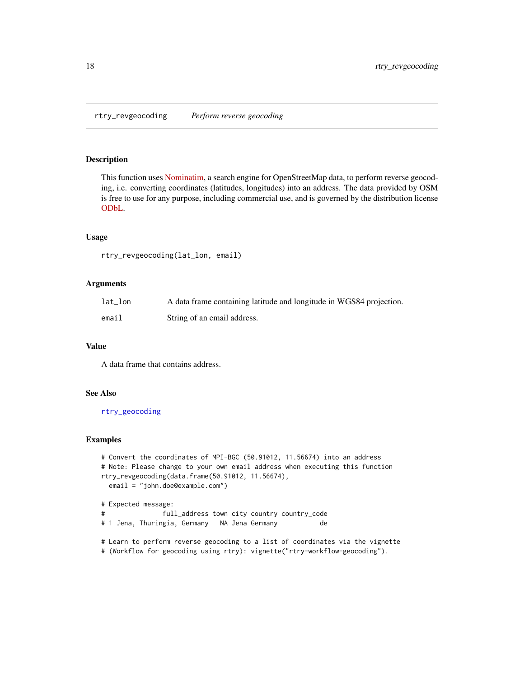<span id="page-17-1"></span><span id="page-17-0"></span>rtry\_revgeocoding *Perform reverse geocoding*

# Description

This function uses [Nominatim,](https://wiki.openstreetmap.org/wiki/Nominatim) a search engine for OpenStreetMap data, to perform reverse geocoding, i.e. converting coordinates (latitudes, longitudes) into an address. The data provided by OSM is free to use for any purpose, including commercial use, and is governed by the distribution license [ODbL.](https://wiki.osmfoundation.org/wiki/Licence)

#### Usage

rtry\_revgeocoding(lat\_lon, email)

#### Arguments

| $lat\_lon$ | A data frame containing latitude and longitude in WGS84 projection. |
|------------|---------------------------------------------------------------------|
| email      | String of an email address.                                         |

#### Value

A data frame that contains address.

# See Also

[rtry\\_geocoding](#page-10-1)

```
# Convert the coordinates of MPI-BGC (50.91012, 11.56674) into an address
# Note: Please change to your own email address when executing this function
rtry_revgeocoding(data.frame(50.91012, 11.56674),
 email = "john.doe@example.com")
# Expected message:
# full_address town city country country_code
# 1 Jena, Thuringia, Germany NA Jena Germany de
# Learn to perform reverse geocoding to a list of coordinates via the vignette
# (Workflow for geocoding using rtry): vignette("rtry-workflow-geocoding").
```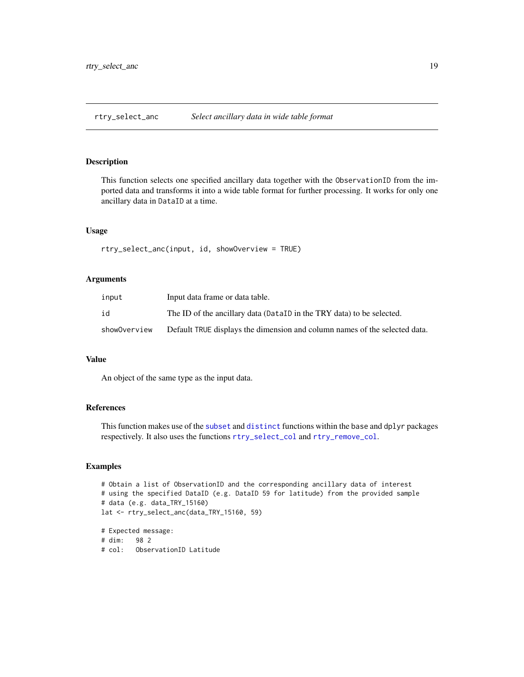<span id="page-18-1"></span><span id="page-18-0"></span>rtry\_select\_anc *Select ancillary data in wide table format*

#### Description

This function selects one specified ancillary data together with the ObservationID from the imported data and transforms it into a wide table format for further processing. It works for only one ancillary data in DataID at a time.

# Usage

rtry\_select\_anc(input, id, showOverview = TRUE)

# Arguments

| input        | Input data frame or data table.                                            |
|--------------|----------------------------------------------------------------------------|
| id           | The ID of the ancillary data (DataID in the TRY data) to be selected.      |
| showOverview | Default TRUE displays the dimension and column names of the selected data. |

# Value

An object of the same type as the input data.

# References

This function makes use of the [subset](#page-0-0) and [distinct](#page-0-0) functions within the base and dplyr packages respectively. It also uses the functions [rtry\\_select\\_col](#page-19-1) and [rtry\\_remove\\_col](#page-15-1).

# Examples

```
# Obtain a list of ObservationID and the corresponding ancillary data of interest
# using the specified DataID (e.g. DataID 59 for latitude) from the provided sample
# data (e.g. data_TRY_15160)
lat <- rtry_select_anc(data_TRY_15160, 59)
# Expected message:
```
# dim: 98 2 # col: ObservationID Latitude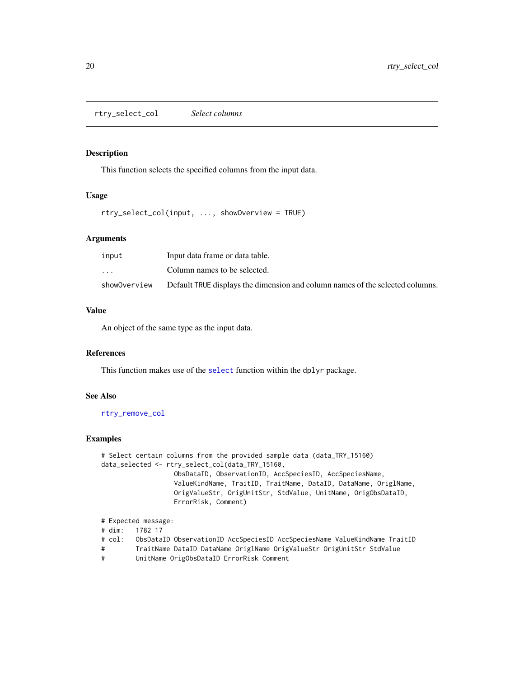<span id="page-19-1"></span><span id="page-19-0"></span>rtry\_select\_col *Select columns*

#### Description

This function selects the specified columns from the input data.

# Usage

rtry\_select\_col(input, ..., showOverview = TRUE)

# Arguments

| input                   | Input data frame or data table.                                               |
|-------------------------|-------------------------------------------------------------------------------|
| $\cdot$ $\cdot$ $\cdot$ | Column names to be selected.                                                  |
| showOverview            | Default TRUE displays the dimension and column names of the selected columns. |

# Value

An object of the same type as the input data.

#### References

This function makes use of the [select](#page-0-0) function within the dplyr package.

# See Also

[rtry\\_remove\\_col](#page-15-1)

### Examples

```
# Select certain columns from the provided sample data (data_TRY_15160)
data_selected <- rtry_select_col(data_TRY_15160,
                   ObsDataID, ObservationID, AccSpeciesID, AccSpeciesName,
                   ValueKindName, TraitID, TraitName, DataID, DataName, OriglName,
                  OrigValueStr, OrigUnitStr, StdValue, UnitName, OrigObsDataID,
                  ErrorRisk, Comment)
```

```
# Expected message:
# dim: 1782 17
# col: ObsDataID ObservationID AccSpeciesID AccSpeciesName ValueKindName TraitID
# TraitName DataID DataName OriglName OrigValueStr OrigUnitStr StdValue
```
# UnitName OrigObsDataID ErrorRisk Comment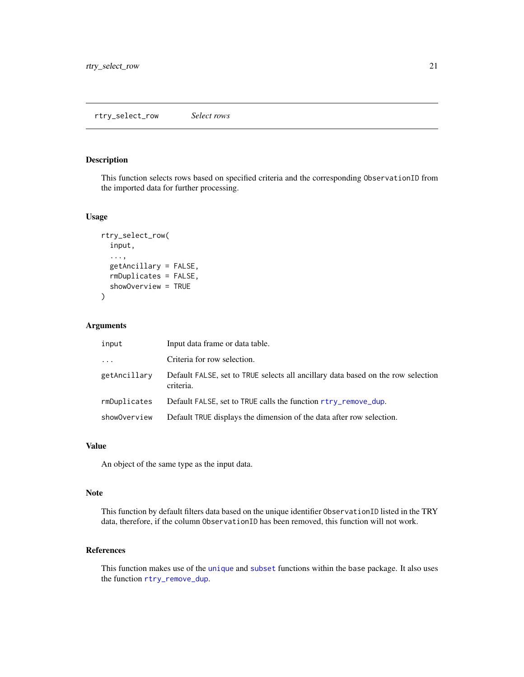# <span id="page-20-1"></span><span id="page-20-0"></span>Description

This function selects rows based on specified criteria and the corresponding ObservationID from the imported data for further processing.

# Usage

```
rtry_select_row(
  input,
  ...,
  getAncillary = FALSE,
  rmDuplicates = FALSE,
  showOverview = TRUE
)
```
# Arguments

| input        | Input data frame or data table.                                                               |
|--------------|-----------------------------------------------------------------------------------------------|
| $\cdots$     | Criteria for row selection.                                                                   |
| getAncillary | Default FALSE, set to TRUE selects all ancillary data based on the row selection<br>criteria. |
| rmDuplicates | Default FALSE, set to TRUE calls the function rtry_remove_dup.                                |
| showOverview | Default TRUE displays the dimension of the data after row selection.                          |

#### Value

An object of the same type as the input data.

# Note

This function by default filters data based on the unique identifier ObservationID listed in the TRY data, therefore, if the column ObservationID has been removed, this function will not work.

# References

This function makes use of the [unique](#page-0-0) and [subset](#page-0-0) functions within the base package. It also uses the function [rtry\\_remove\\_dup](#page-16-1).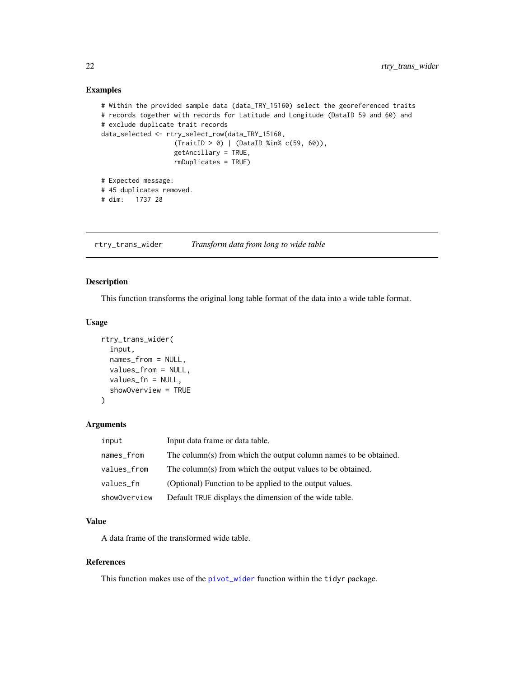# Examples

```
# Within the provided sample data (data_TRY_15160) select the georeferenced traits
# records together with records for Latitude and Longitude (DataID 59 and 60) and
# exclude duplicate trait records
data_selected <- rtry_select_row(data_TRY_15160,
                   (TraitID > 0) | (DataID %in% c(59, 60)),
                   getAncillary = TRUE,
                   rmDuplicates = TRUE)
# Expected message:
# 45 duplicates removed.
# dim: 1737 28
```
rtry\_trans\_wider *Transform data from long to wide table*

# Description

This function transforms the original long table format of the data into a wide table format.

### Usage

```
rtry_trans_wider(
  input,
  names_from = NULL,
  values_from = NULL,
  values_fn = NULL,
  showOverview = TRUE
)
```
#### Arguments

| input        | Input data frame or data table.                                  |
|--------------|------------------------------------------------------------------|
| names_from   | The column(s) from which the output column names to be obtained. |
| values_from  | The column(s) from which the output values to be obtained.       |
| values_fn    | (Optional) Function to be applied to the output values.          |
| showOverview | Default TRUE displays the dimension of the wide table.           |

#### Value

A data frame of the transformed wide table.

#### References

This function makes use of the [pivot\\_wider](#page-0-0) function within the tidyr package.

<span id="page-21-0"></span>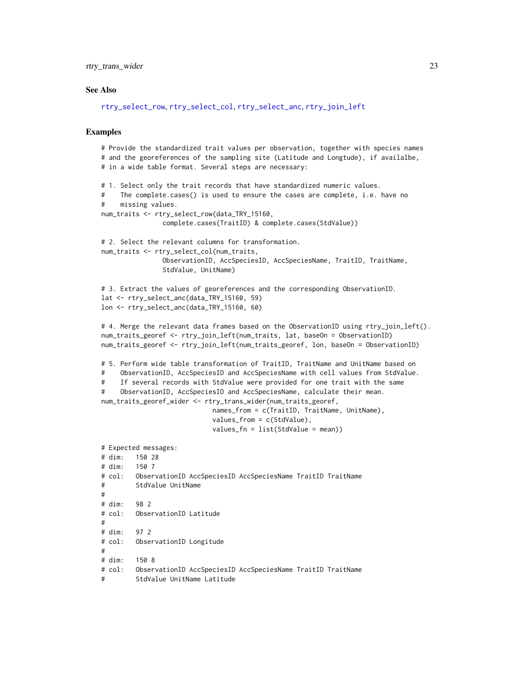<span id="page-22-0"></span>rtry\_trans\_wider 23

#### See Also

```
rtry_select_row, rtry_select_col, rtry_select_anc, rtry_join_left
```

```
# Provide the standardized trait values per observation, together with species names
# and the georeferences of the sampling site (Latitude and Longtude), if availalbe,
# in a wide table format. Several steps are necessary:
# 1. Select only the trait records that have standardized numeric values.
# The complete.cases() is used to ensure the cases are complete, i.e. have no
# missing values.
num_traits <- rtry_select_row(data_TRY_15160,
               complete.cases(TraitID) & complete.cases(StdValue))
# 2. Select the relevant columns for transformation.
num_traits <- rtry_select_col(num_traits,
               ObservationID, AccSpeciesID, AccSpeciesName, TraitID, TraitName,
                StdValue, UnitName)
# 3. Extract the values of georeferences and the corresponding ObservationID.
lat <- rtry_select_anc(data_TRY_15160, 59)
lon <- rtry_select_anc(data_TRY_15160, 60)
# 4. Merge the relevant data frames based on the ObservationID using rtry_join_left().
num_traits_georef <- rtry_join_left(num_traits, lat, baseOn = ObservationID)
num_traits_georef <- rtry_join_left(num_traits_georef, lon, baseOn = ObservationID)
# 5. Perform wide table transformation of TraitID, TraitName and UnitName based on
# ObservationID, AccSpeciesID and AccSpeciesName with cell values from StdValue.
# If several records with StdValue were provided for one trait with the same
# ObservationID, AccSpeciesID and AccSpeciesName, calculate their mean.
num_traits_georef_wider <- rtry_trans_wider(num_traits_georef,
                            names_from = c(TraitID, TraitName, UnitName),
                            values_from = c(StdValue),
                            values_fn = list(StdValue = mean))
# Expected messages:
# dim: 150 28
# dim: 150 7
# col: ObservationID AccSpeciesID AccSpeciesName TraitID TraitName
# StdValue UnitName
#
# dim: 98 2
# col: ObservationID Latitude
#
# dim: 97 2
# col: ObservationID Longitude
#
# dim: 150 8
# col: ObservationID AccSpeciesID AccSpeciesName TraitID TraitName
```

```
# StdValue UnitName Latitude
```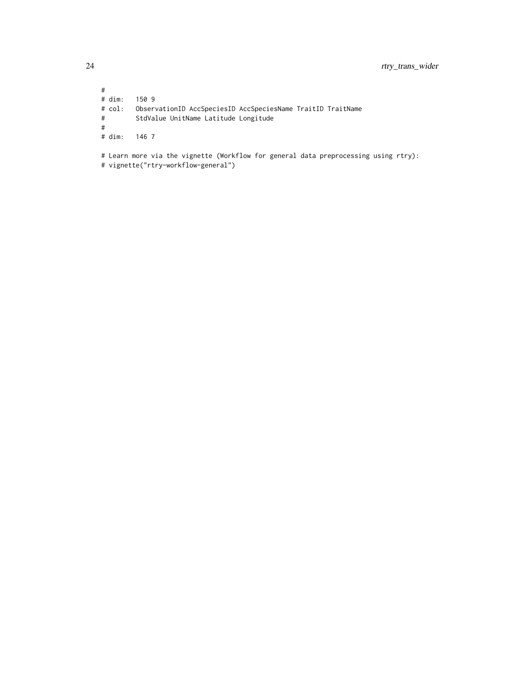# # dim: 150 9 # col: ObservationID AccSpeciesID AccSpeciesName TraitID TraitName StdValue UnitName Latitude Longitude # # dim: 146 7 # Learn more via the vignette (Workflow for general data preprocessing using rtry): # vignette("rtry-workflow-general")